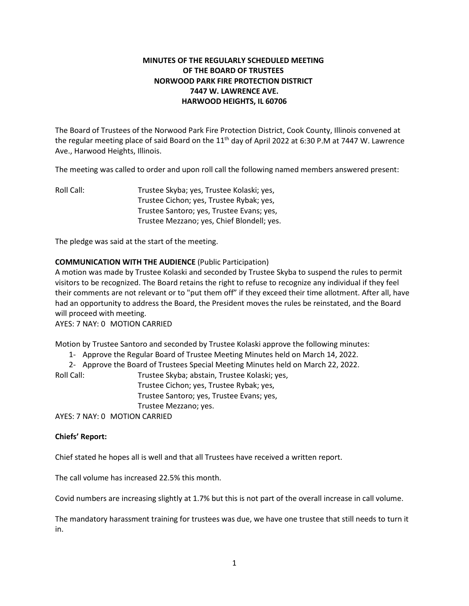# **MINUTES OF THE REGULARLY SCHEDULED MEETING OF THE BOARD OF TRUSTEES NORWOOD PARK FIRE PROTECTION DISTRICT 7447 W. LAWRENCE AVE. HARWOOD HEIGHTS, IL 60706**

The Board of Trustees of the Norwood Park Fire Protection District, Cook County, Illinois convened at the regular meeting place of said Board on the 11<sup>th</sup> day of April 2022 at 6:30 P.M at 7447 W. Lawrence Ave., Harwood Heights, Illinois.

The meeting was called to order and upon roll call the following named members answered present:

Roll Call: Trustee Skyba; yes, Trustee Kolaski; yes, Trustee Cichon; yes, Trustee Rybak; yes, Trustee Santoro; yes, Trustee Evans; yes, Trustee Mezzano; yes, Chief Blondell; yes.

The pledge was said at the start of the meeting.

# **COMMUNICATION WITH THE AUDIENCE** (Public Participation)

A motion was made by Trustee Kolaski and seconded by Trustee Skyba to suspend the rules to permit visitors to be recognized. The Board retains the right to refuse to recognize any individual if they feel their comments are not relevant or to "put them off" if they exceed their time allotment. After all, have had an opportunity to address the Board, the President moves the rules be reinstated, and the Board will proceed with meeting.

AYES: 7 NAY: 0 MOTION CARRIED

Motion by Trustee Santoro and seconded by Trustee Kolaski approve the following minutes:

- 1- Approve the Regular Board of Trustee Meeting Minutes held on March 14, 2022.
- 2- Approve the Board of Trustees Special Meeting Minutes held on March 22, 2022.

| Roll Call: | Trustee Skyba; abstain, Trustee Kolaski; yes, |
|------------|-----------------------------------------------|
|            | Trustee Cichon; yes, Trustee Rybak; yes,      |
|            | Trustee Santoro; yes, Trustee Evans; yes,     |
|            | Trustee Mezzano; yes.                         |
|            | AYFC. 7 NAY. 0 MOTION CADBITD                 |

AYES: 7 NAY: 0 MOTION CARRIED

### **Chiefs' Report:**

Chief stated he hopes all is well and that all Trustees have received a written report.

The call volume has increased 22.5% this month.

Covid numbers are increasing slightly at 1.7% but this is not part of the overall increase in call volume.

The mandatory harassment training for trustees was due, we have one trustee that still needs to turn it in.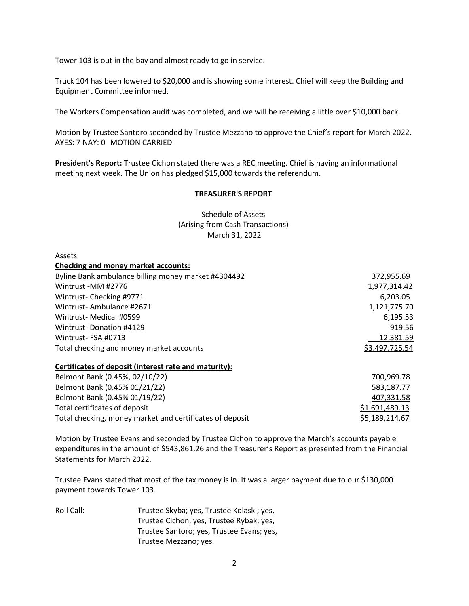Tower 103 is out in the bay and almost ready to go in service.

Truck 104 has been lowered to \$20,000 and is showing some interest. Chief will keep the Building and Equipment Committee informed.

The Workers Compensation audit was completed, and we will be receiving a little over \$10,000 back.

Motion by Trustee Santoro seconded by Trustee Mezzano to approve the Chief's report for March 2022. AYES: 7 NAY: 0 MOTION CARRIED

**President's Report:** Trustee Cichon stated there was a REC meeting. Chief is having an informational meeting next week. The Union has pledged \$15,000 towards the referendum.

### **TREASURER'S REPORT**

Schedule of Assets (Arising from Cash Transactions) March 31, 2022

Assets

| <b>Checking and money market accounts:</b>          |                |
|-----------------------------------------------------|----------------|
| Byline Bank ambulance billing money market #4304492 | 372,955.69     |
| Wintrust -MM #2776                                  | 1,977,314.42   |
| Wintrust-Checking #9771                             | 6,203.05       |
| Wintrust-Ambulance #2671                            | 1,121,775.70   |
| Wintrust- Medical #0599                             | 6,195.53       |
| Wintrust-Donation #4129                             | 919.56         |
| Wintrust-FSA #0713                                  | 12,381.59      |
| Total checking and money market accounts            | \$3,497,725.54 |

# **Certificates of deposit (interest rate and maturity):**

| Belmont Bank (0.45%, 02/10/22)                           | 700.969.78     |
|----------------------------------------------------------|----------------|
| Belmont Bank (0.45% 01/21/22)                            | 583.187.77     |
| Belmont Bank (0.45% 01/19/22)                            | 407,331.58     |
| Total certificates of deposit                            | \$1,691,489.13 |
| Total checking, money market and certificates of deposit | \$5,189,214.67 |

Motion by Trustee Evans and seconded by Trustee Cichon to approve the March's accounts payable expenditures in the amount of \$543,861.26 and the Treasurer's Report as presented from the Financial Statements for March 2022.

Trustee Evans stated that most of the tax money is in. It was a larger payment due to our \$130,000 payment towards Tower 103.

Roll Call: Trustee Skyba; yes, Trustee Kolaski; yes, Trustee Cichon; yes, Trustee Rybak; yes, Trustee Santoro; yes, Trustee Evans; yes, Trustee Mezzano; yes.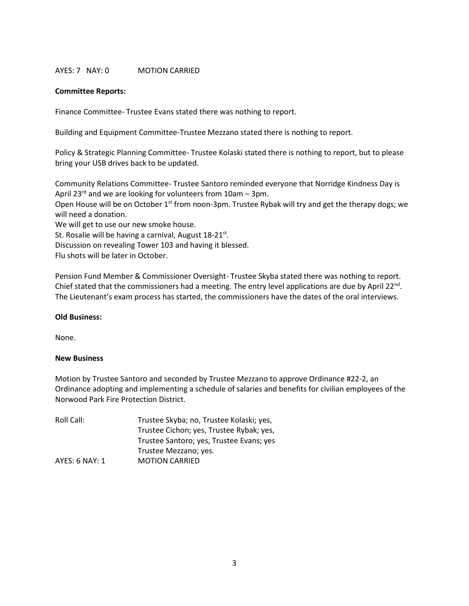## AYES: 7 NAY: 0 MOTION CARRIED

### **Committee Reports:**

Finance Committee- Trustee Evans stated there was nothing to report.

Building and Equipment Committee-Trustee Mezzano stated there is nothing to report.

Policy & Strategic Planning Committee- Trustee Kolaski stated there is nothing to report, but to please bring your USB drives back to be updated.

Community Relations Committee- Trustee Santoro reminded everyone that Norridge Kindness Day is April 23<sup>rd</sup> and we are looking for volunteers from 10am - 3pm. Open House will be on October 1<sup>st</sup> from noon-3pm. Trustee Rybak will try and get the therapy dogs; we will need a donation. We will get to use our new smoke house. St. Rosalie will be having a carnival, August 18-21<sup>st</sup>. Discussion on revealing Tower 103 and having it blessed. Flu shots will be later in October.

Pension Fund Member & Commissioner Oversight- Trustee Skyba stated there was nothing to report. Chief stated that the commissioners had a meeting. The entry level applications are due by April  $22^{nd}$ . The Lieutenant's exam process has started, the commissioners have the dates of the oral interviews.

### **Old Business:**

None.

### **New Business**

Motion by Trustee Santoro and seconded by Trustee Mezzano to approve Ordinance #22-2, an Ordinance adopting and implementing a schedule of salaries and benefits for civilian employees of the Norwood Park Fire Protection District.

| Roll Call:     | Trustee Skyba; no, Trustee Kolaski; yes, |
|----------------|------------------------------------------|
|                | Trustee Cichon; yes, Trustee Rybak; yes, |
|                | Trustee Santoro; yes, Trustee Evans; yes |
|                | Trustee Mezzano; yes.                    |
| AYES: 6 NAY: 1 | <b>MOTION CARRIED</b>                    |